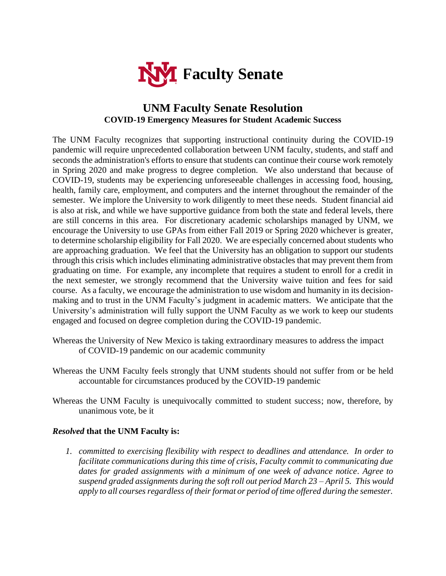

## **UNM Faculty Senate Resolution COVID-19 Emergency Measures for Student Academic Success**

The UNM Faculty recognizes that supporting instructional continuity during the COVID-19 pandemic will require unprecedented collaboration between UNM faculty, students, and staff and seconds the administration's efforts to ensure that students can continue their course work remotely in Spring 2020 and make progress to degree completion. We also understand that because of COVID-19, students may be experiencing unforeseeable challenges in accessing food, housing, health, family care, employment, and computers and the internet throughout the remainder of the semester. We implore the University to work diligently to meet these needs. Student financial aid is also at risk, and while we have supportive guidance from both the state and federal levels, there are still concerns in this area. For discretionary academic scholarships managed by UNM, we encourage the University to use GPAs from either Fall 2019 or Spring 2020 whichever is greater, to determine scholarship eligibility for Fall 2020. We are especially concerned about students who are approaching graduation. We feel that the University has an obligation to support our students through this crisis which includes eliminating administrative obstacles that may prevent them from graduating on time. For example, any incomplete that requires a student to enroll for a credit in the next semester, we strongly recommend that the University waive tuition and fees for said course. As a faculty, we encourage the administration to use wisdom and humanity in its decisionmaking and to trust in the UNM Faculty's judgment in academic matters. We anticipate that the University's administration will fully support the UNM Faculty as we work to keep our students engaged and focused on degree completion during the COVID-19 pandemic.

- Whereas the University of New Mexico is taking extraordinary measures to address the impact of COVID-19 pandemic on our academic community
- Whereas the UNM Faculty feels strongly that UNM students should not suffer from or be held accountable for circumstances produced by the COVID-19 pandemic
- Whereas the UNM Faculty is unequivocally committed to student success; now, therefore, by unanimous vote, be it

## *Resolved* **that the UNM Faculty is:**

*1. committed to exercising flexibility with respect to deadlines and attendance. In order to facilitate communications during this time of crisis, Faculty commit to communicating due dates for graded assignments with a minimum of one week of advance notice. Agree to suspend graded assignments during the soft roll out period March 23 – April 5. This would apply to all courses regardless of their format or period of time offered during the semester.*